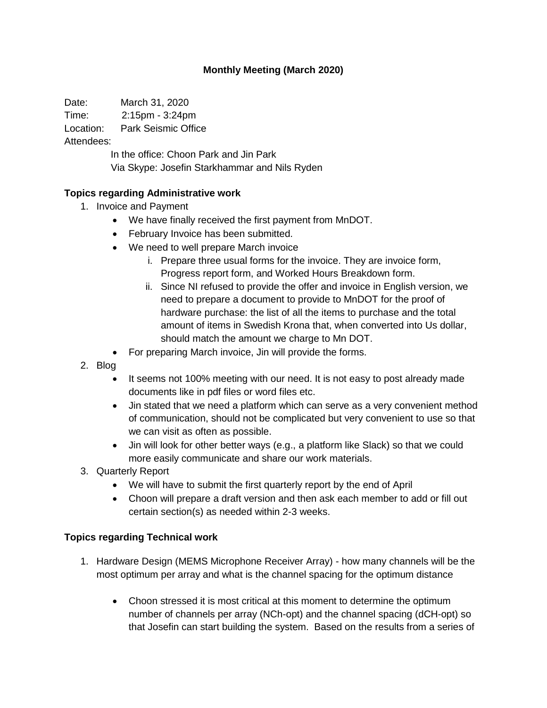## **Monthly Meeting (March 2020)**

Date: March 31, 2020

Time: 2:15pm - 3:24pm

Location: Park Seismic Office

Attendees:

In the office: Choon Park and Jin Park Via Skype: Josefin Starkhammar and Nils Ryden

## **Topics regarding Administrative work**

- 1. Invoice and Payment
	- We have finally received the first payment from MnDOT.
	- February Invoice has been submitted.
	- We need to well prepare March invoice
		- i. Prepare three usual forms for the invoice. They are invoice form, Progress report form, and Worked Hours Breakdown form.
		- ii. Since NI refused to provide the offer and invoice in English version, we need to prepare a document to provide to MnDOT for the proof of hardware purchase: the list of all the items to purchase and the total amount of items in Swedish Krona that, when converted into Us dollar, should match the amount we charge to Mn DOT.
	- For preparing March invoice, Jin will provide the forms.
- 2. Blog
	- It seems not 100% meeting with our need. It is not easy to post already made documents like in pdf files or word files etc.
	- Jin stated that we need a platform which can serve as a very convenient method of communication, should not be complicated but very convenient to use so that we can visit as often as possible.
	- Jin will look for other better ways (e.g., a platform like Slack) so that we could more easily communicate and share our work materials.
- 3. Quarterly Report
	- We will have to submit the first quarterly report by the end of April
	- Choon will prepare a draft version and then ask each member to add or fill out certain section(s) as needed within 2-3 weeks.

## **Topics regarding Technical work**

- 1. Hardware Design (MEMS Microphone Receiver Array) how many channels will be the most optimum per array and what is the channel spacing for the optimum distance
	- Choon stressed it is most critical at this moment to determine the optimum number of channels per array (NCh-opt) and the channel spacing (dCH-opt) so that Josefin can start building the system. Based on the results from a series of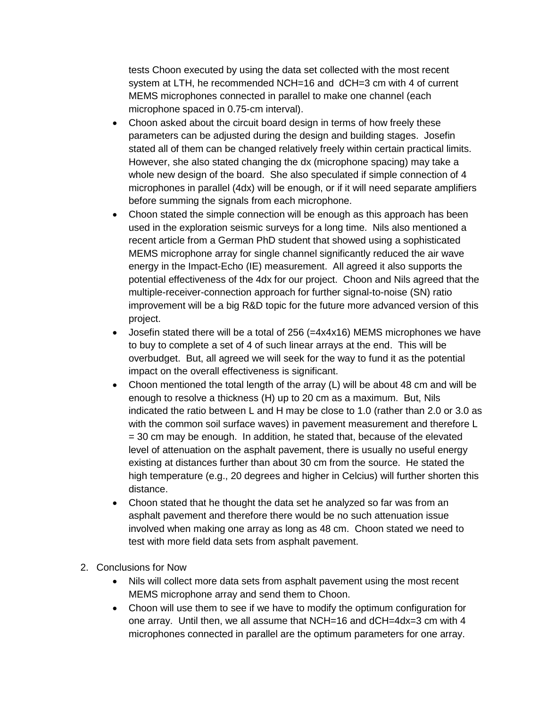tests Choon executed by using the data set collected with the most recent system at LTH, he recommended NCH=16 and dCH=3 cm with 4 of current MEMS microphones connected in parallel to make one channel (each microphone spaced in 0.75-cm interval).

- Choon asked about the circuit board design in terms of how freely these parameters can be adjusted during the design and building stages. Josefin stated all of them can be changed relatively freely within certain practical limits. However, she also stated changing the dx (microphone spacing) may take a whole new design of the board. She also speculated if simple connection of 4 microphones in parallel (4dx) will be enough, or if it will need separate amplifiers before summing the signals from each microphone.
- Choon stated the simple connection will be enough as this approach has been used in the exploration seismic surveys for a long time. Nils also mentioned a recent article from a German PhD student that showed using a sophisticated MEMS microphone array for single channel significantly reduced the air wave energy in the Impact-Echo (IE) measurement. All agreed it also supports the potential effectiveness of the 4dx for our project. Choon and Nils agreed that the multiple-receiver-connection approach for further signal-to-noise (SN) ratio improvement will be a big R&D topic for the future more advanced version of this project.
- Josefin stated there will be a total of 256 (=4x4x16) MEMS microphones we have to buy to complete a set of 4 of such linear arrays at the end. This will be overbudget. But, all agreed we will seek for the way to fund it as the potential impact on the overall effectiveness is significant.
- Choon mentioned the total length of the array (L) will be about 48 cm and will be enough to resolve a thickness (H) up to 20 cm as a maximum. But, Nils indicated the ratio between L and H may be close to 1.0 (rather than 2.0 or 3.0 as with the common soil surface waves) in pavement measurement and therefore L = 30 cm may be enough. In addition, he stated that, because of the elevated level of attenuation on the asphalt pavement, there is usually no useful energy existing at distances further than about 30 cm from the source. He stated the high temperature (e.g., 20 degrees and higher in Celcius) will further shorten this distance.
- Choon stated that he thought the data set he analyzed so far was from an asphalt pavement and therefore there would be no such attenuation issue involved when making one array as long as 48 cm. Choon stated we need to test with more field data sets from asphalt pavement.
- 2. Conclusions for Now
	- Nils will collect more data sets from asphalt pavement using the most recent MEMS microphone array and send them to Choon.
	- Choon will use them to see if we have to modify the optimum configuration for one array. Until then, we all assume that NCH=16 and dCH=4dx=3 cm with 4 microphones connected in parallel are the optimum parameters for one array.